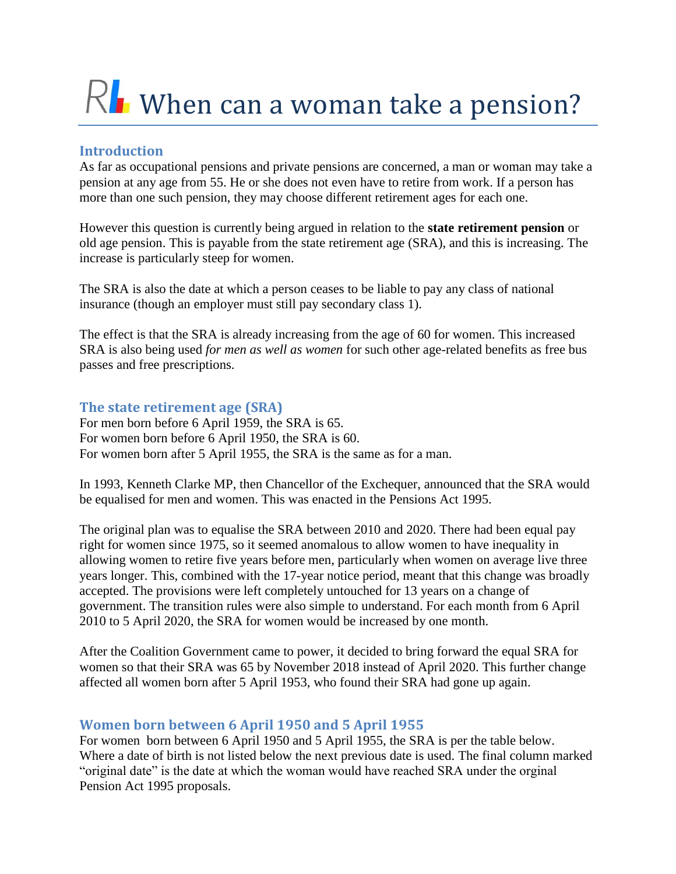# $R$  When can a woman take a pension?

## **Introduction**

As far as occupational pensions and private pensions are concerned, a man or woman may take a pension at any age from 55. He or she does not even have to retire from work. If a person has more than one such pension, they may choose different retirement ages for each one.

However this question is currently being argued in relation to the **state retirement pension** or old age pension. This is payable from the state retirement age (SRA), and this is increasing. The increase is particularly steep for women.

The SRA is also the date at which a person ceases to be liable to pay any class of national insurance (though an employer must still pay secondary class 1).

The effect is that the SRA is already increasing from the age of 60 for women. This increased SRA is also being used *for men as well as women* for such other age-related benefits as free bus passes and free prescriptions.

## **The state retirement age (SRA)**

For men born before 6 April 1959, the SRA is 65. For women born before 6 April 1950, the SRA is 60. For women born after 5 April 1955, the SRA is the same as for a man.

In 1993, Kenneth Clarke MP, then Chancellor of the Exchequer, announced that the SRA would be equalised for men and women. This was enacted in the Pensions Act 1995.

The original plan was to equalise the SRA between 2010 and 2020. There had been equal pay right for women since 1975, so it seemed anomalous to allow women to have inequality in allowing women to retire five years before men, particularly when women on average live three years longer. This, combined with the 17-year notice period, meant that this change was broadly accepted. The provisions were left completely untouched for 13 years on a change of government. The transition rules were also simple to understand. For each month from 6 April 2010 to 5 April 2020, the SRA for women would be increased by one month.

After the Coalition Government came to power, it decided to bring forward the equal SRA for women so that their SRA was 65 by November 2018 instead of April 2020. This further change affected all women born after 5 April 1953, who found their SRA had gone up again.

## **Women born between 6 April 1950 and 5 April 1955**

For women born between 6 April 1950 and 5 April 1955, the SRA is per the table below. Where a date of birth is not listed below the next previous date is used. The final column marked "original date" is the date at which the woman would have reached SRA under the orginal Pension Act 1995 proposals.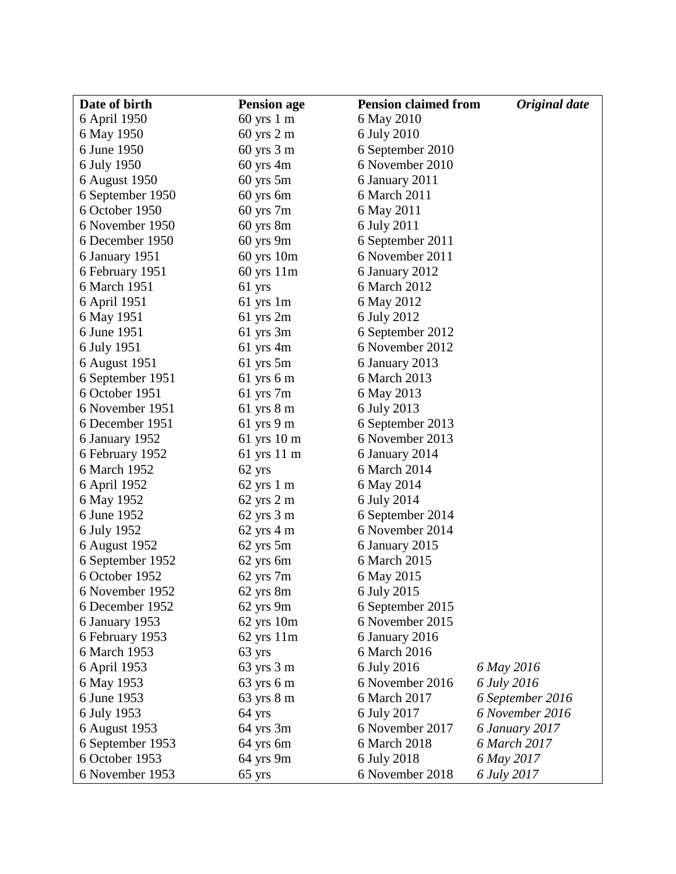| Date of birth    | <b>Pension age</b>            | <b>Pension claimed from</b> | <b>Original</b> date |
|------------------|-------------------------------|-----------------------------|----------------------|
| 6 April 1950     | $60 \text{ yrs } 1 \text{ m}$ | 6 May 2010                  |                      |
| 6 May 1950       | $60$ yrs $2 m$                | 6 July 2010                 |                      |
| 6 June 1950      | $60$ yrs $3m$                 | 6 September 2010            |                      |
| 6 July 1950      | $60$ yrs $4m$                 | 6 November 2010             |                      |
| 6 August 1950    | $60$ yrs $5m$                 | 6 January 2011              |                      |
| 6 September 1950 | 60 yrs 6m                     | 6 March 2011                |                      |
| 6 October 1950   | $60$ yrs $7m$                 | 6 May 2011                  |                      |
| 6 November 1950  | $60$ yrs $8m$                 | 6 July 2011                 |                      |
| 6 December 1950  | $60$ yrs $9m$                 | 6 September 2011            |                      |
| 6 January 1951   | $60 \text{ yrs } 10 \text{m}$ | 6 November 2011             |                      |
| 6 February 1951  | $60 \text{ yrs } 11 \text{m}$ | 6 January 2012              |                      |
| 6 March 1951     | 61 yrs                        | 6 March 2012                |                      |
| 6 April 1951     | $61$ yrs 1m                   | 6 May 2012                  |                      |
| 6 May 1951       | $61$ yrs $2m$                 | 6 July 2012                 |                      |
| 6 June 1951      | $61$ yrs $3m$                 | 6 September 2012            |                      |
| 6 July 1951      | $61$ yrs 4m                   | 6 November 2012             |                      |
| 6 August 1951    | $61$ yrs $5m$                 | 6 January 2013              |                      |
| 6 September 1951 | 61 yrs 6 m                    | 6 March 2013                |                      |
| 6 October 1951   | $61$ yrs $7m$                 | 6 May 2013                  |                      |
| 6 November 1951  | 61 yrs 8 m                    | 6 July 2013                 |                      |
| 6 December 1951  | 61 yrs 9 m                    | 6 September 2013            |                      |
| 6 January 1952   | $61$ yrs $10$ m               | 6 November 2013             |                      |
| 6 February 1952  | 61 yrs 11 m                   | 6 January 2014              |                      |
| 6 March 1952     | 62 yrs                        | 6 March 2014                |                      |
| 6 April 1952     | $62 \text{ yrs } 1 \text{ m}$ | 6 May 2014                  |                      |
| 6 May 1952       | $62 \text{ yrs } 2 \text{ m}$ | 6 July 2014                 |                      |
| 6 June 1952      | $62 \text{ yrs } 3 \text{ m}$ | 6 September 2014            |                      |
| 6 July 1952      | $62$ yrs $4 \text{ m}$        | 6 November 2014             |                      |
| 6 August 1952    | $62$ yrs $5m$                 | 6 January 2015              |                      |
| 6 September 1952 | 62 yrs 6m                     | 6 March 2015                |                      |
| 6 October 1952   | $62$ yrs $7m$                 | 6 May 2015                  |                      |
| 6 November 1952  | 62 yrs 8m                     | 6 July 2015                 |                      |
| 6 December 1952  | $62$ yrs $9m$                 | 6 September 2015            |                      |
| 6 January 1953   | $62$ yrs $10m$                | 6 November 2015             |                      |
| 6 February 1953  | $62$ yrs $11m$                | 6 January 2016              |                      |
| 6 March 1953     | 63 yrs                        | 6 March 2016                |                      |
| 6 April 1953     | 63 yrs 3 m                    | 6 July 2016                 | 6 May 2016           |
| 6 May 1953       | 63 yrs 6 m                    | 6 November 2016             | 6 July 2016          |
| 6 June 1953      | $63 \text{ yrs } 8 \text{ m}$ | 6 March 2017                | 6 September 2016     |
| 6 July 1953      | 64 yrs                        | 6 July 2017                 | 6 November 2016      |
| 6 August 1953    | $64$ yrs $3m$                 | 6 November 2017             | 6 January 2017       |
| 6 September 1953 | 64 yrs 6m                     | 6 March 2018                | 6 March 2017         |
| 6 October 1953   | 64 yrs 9m                     | 6 July 2018                 | 6 May 2017           |
| 6 November 1953  | 65 yrs                        | 6 November 2018             | 6 July 2017          |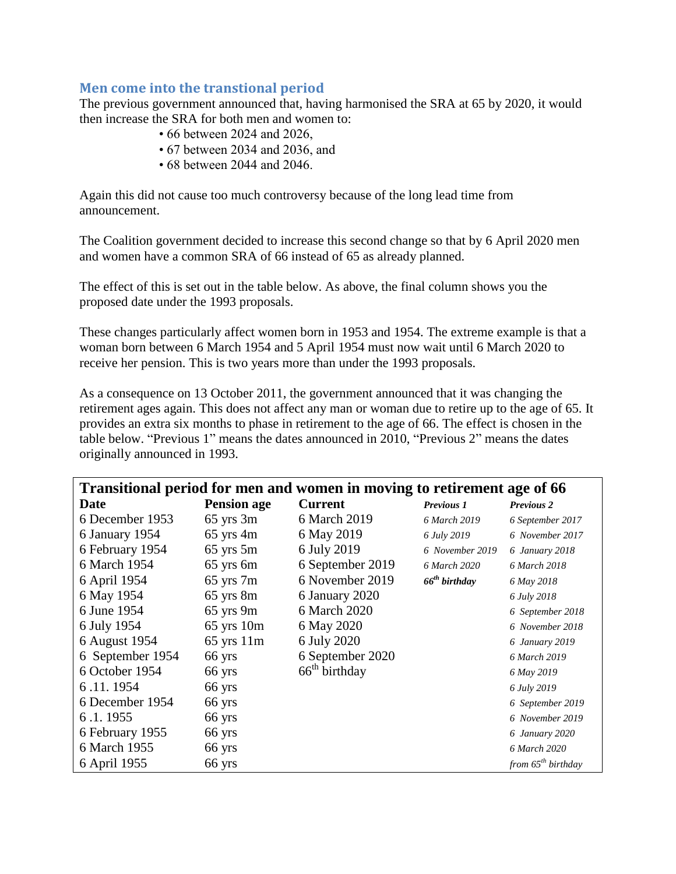#### **Men come into the transtional period**

The previous government announced that, having harmonised the SRA at 65 by 2020, it would then increase the SRA for both men and women to:

- 66 between 2024 and 2026,
- 67 between 2034 and 2036, and
- 68 between 2044 and 2046.

Again this did not cause too much controversy because of the long lead time from announcement.

The Coalition government decided to increase this second change so that by 6 April 2020 men and women have a common SRA of 66 instead of 65 as already planned.

The effect of this is set out in the table below. As above, the final column shows you the proposed date under the 1993 proposals.

These changes particularly affect women born in 1953 and 1954. The extreme example is that a woman born between 6 March 1954 and 5 April 1954 must now wait until 6 March 2020 to receive her pension. This is two years more than under the 1993 proposals.

As a consequence on 13 October 2011, the government announced that it was changing the retirement ages again. This does not affect any man or woman due to retire up to the age of 65. It provides an extra six months to phase in retirement to the age of 66. The effect is chosen in the table below. "Previous 1" means the dates announced in 2010, "Previous 2" means the dates originally announced in 1993.

| Transitional period for men and women in moving to retirement age of 66 |                    |                  |                    |                         |  |  |
|-------------------------------------------------------------------------|--------------------|------------------|--------------------|-------------------------|--|--|
| Date                                                                    | <b>Pension age</b> | <b>Current</b>   | <b>Previous 1</b>  | <b>Previous 2</b>       |  |  |
| 6 December 1953                                                         | $65$ yrs $3m$      | 6 March 2019     | 6 March 2019       | 6 September 2017        |  |  |
| 6 January 1954                                                          | $65$ yrs 4m        | 6 May 2019       | 6 July 2019        | 6 November 2017         |  |  |
| 6 February 1954                                                         | $65$ yrs $5m$      | 6 July 2019      | 6 November 2019    | 6 January 2018          |  |  |
| 6 March 1954                                                            | 65 yrs 6m          | 6 September 2019 | 6 March 2020       | 6 March 2018            |  |  |
| 6 April 1954                                                            | $65$ yrs $7m$      | 6 November 2019  | $66^{th}$ birthday | 6 May 2018              |  |  |
| 6 May 1954                                                              | $65$ yrs $8m$      | 6 January 2020   |                    | 6 July 2018             |  |  |
| 6 June 1954                                                             | $65$ yrs $9m$      | 6 March 2020     |                    | 6 September 2018        |  |  |
| 6 July 1954                                                             | $65$ yrs $10m$     | 6 May 2020       |                    | 6 November 2018         |  |  |
| 6 August 1954                                                           | $65$ yrs $11m$     | 6 July 2020      |                    | 6 January 2019          |  |  |
| 6 September 1954                                                        | 66 yrs             | 6 September 2020 |                    | 6 March 2019            |  |  |
| 6 October 1954                                                          | 66 yrs             | $66th$ birthday  |                    | 6 May 2019              |  |  |
| 6.11.1954                                                               | 66 yrs             |                  |                    | 6 July 2019             |  |  |
| 6 December 1954                                                         | 66 yrs             |                  |                    | 6 September 2019        |  |  |
| 6.1.1955                                                                | 66 yrs             |                  |                    | 6 November 2019         |  |  |
| 6 February 1955                                                         | 66 yrs             |                  |                    | 6 January 2020          |  |  |
| 6 March 1955                                                            | 66 yrs             |                  |                    | 6 March 2020            |  |  |
| 6 April 1955                                                            | 66 yrs             |                  |                    | from $65^{th}$ birthday |  |  |